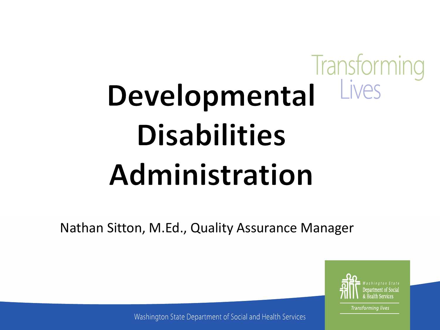## Transforming **IVAS** Developmental **Disabilities** Administration

Nathan Sitton, M.Ed., Quality Assurance Manager



**Transforming lives** 

Washington State Department of Social and Health Services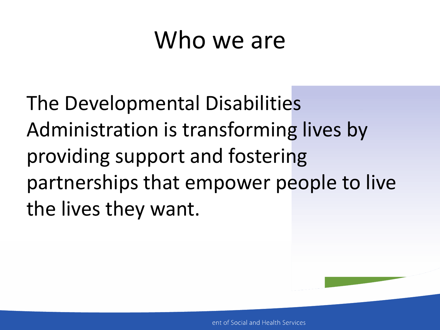### Who we are

The Developmental Disabilities Administration is transforming lives by providing support and fostering partnerships that empower people to live the lives they want.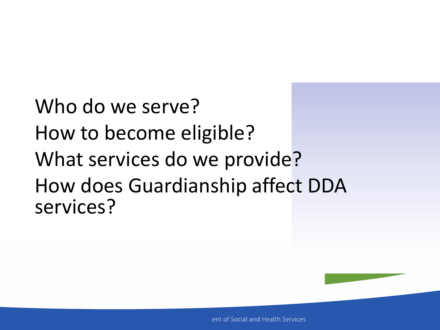Who do we serve? How to become eligible? What services do we provide? How does Guardianship affect DDA services?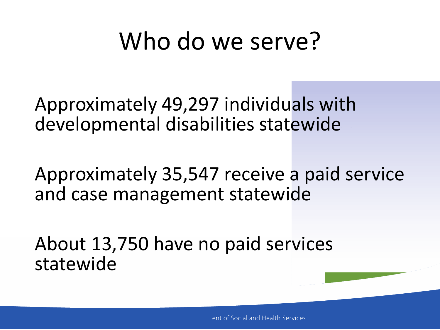### Who do we serve?

Approximately 49,297 individuals with developmental disabilities statewide

Approximately 35,547 receive a paid service and case management statewide

About 13,750 have no paid services statewide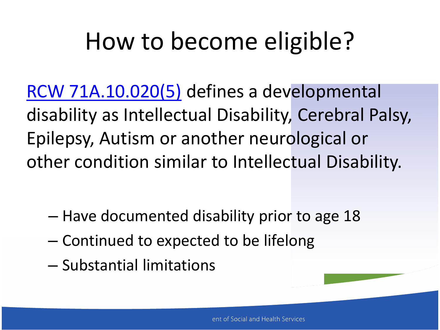## How to become eligible?

[RCW 71A.10.020\(5\)](http://app.leg.wa.gov/rcw/default.aspx?cite=71A.10.020) defines a developmental disability as Intellectual Disability, Cerebral Palsy, Epilepsy, Autism or another neurological or other condition similar to Intellectual Disability.

- Have documented disability prior to age 18
- Continued to expected to be lifelong
- Substantial limitations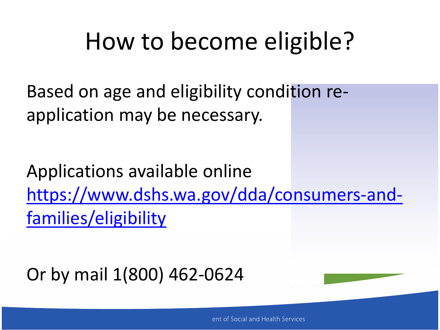## How to become eligible?

Based on age and eligibility condition reapplication may be necessary.

Applications available online [https://www.dshs.wa.gov/dda/consumers-and](https://www.dshs.wa.gov/dda/consumers-and-families/eligibility)[families/eligibility](https://www.dshs.wa.gov/dda/consumers-and-families/eligibility)

Or by mail 1(800) 462-0624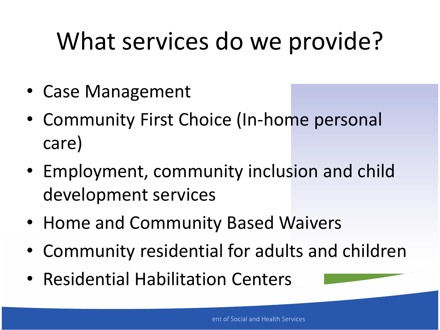- Case Management
- Community First Choice (In-home personal care)
- Employment, community inclusion and child development services
- Home and Community Based Waivers
- Community residential for adults and children
- Residential Habilitation Centers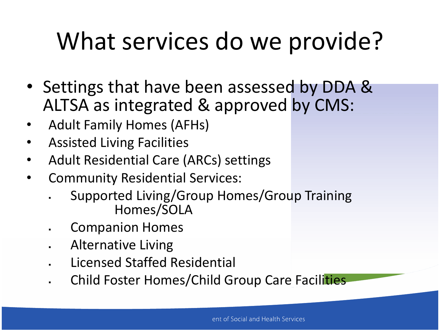- Settings that have been assessed by DDA & ALTSA as integrated & approved by CMS:
- Adult Family Homes (AFHs)
- Assisted Living Facilities
- Adult Residential Care (ARCs) settings
- Community Residential Services:
	- Supported Living/Group Homes/Group Training Homes/SOLA
	- Companion Homes
	- Alternative Living
	- Licensed Staffed Residential
	- Child Foster Homes/Child Group Care Facilities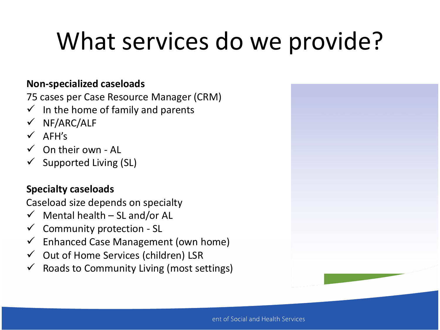#### **Non-specialized caseloads**

75 cases per Case Resource Manager (CRM)

- In the home of family and parents
- $\checkmark$  NF/ARC/ALF
- $V$  AFH's
- $\checkmark$  On their own Al
- $\checkmark$  Supported Living (SL)

#### **Specialty caseloads**

Caseload size depends on specialty

- $\checkmark$  Mental health SL and/or AL
- $\checkmark$  Community protection SL
- $\checkmark$  Enhanced Case Management (own home)
- $\checkmark$  Out of Home Services (children) LSR
- $\checkmark$  Roads to Community Living (most settings)

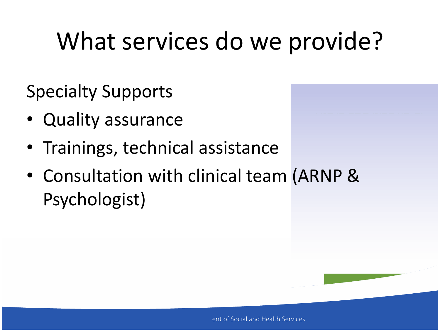Specialty Supports

- Quality assurance
- Trainings, technical assistance
- Consultation with clinical team (ARNP & Psychologist)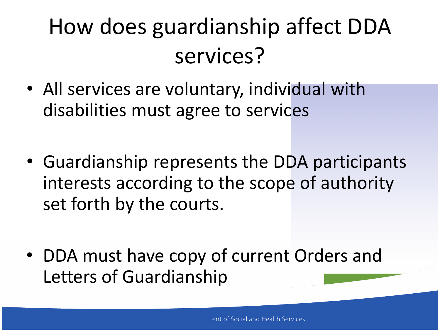### How does guardianship affect DDA services?

- All services are voluntary, individual with disabilities must agree to services
- Guardianship represents the DDA participants interests according to the scope of authority set forth by the courts.
- DDA must have copy of current Orders and Letters of Guardianship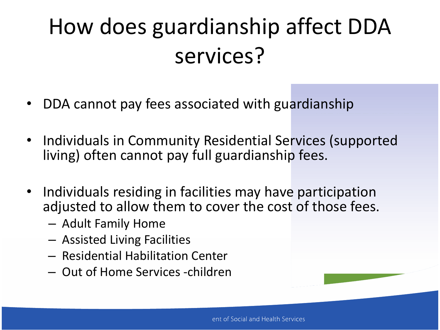## How does guardianship affect DDA services?

- DDA cannot pay fees associated with guardianship
- Individuals in Community Residential Services (supported living) often cannot pay full guardianship fees.
- Individuals residing in facilities may have participation adjusted to allow them to cover the cost of those fees.
	- Adult Family Home
	- Assisted Living Facilities
	- Residential Habilitation Center
	- Out of Home Services -children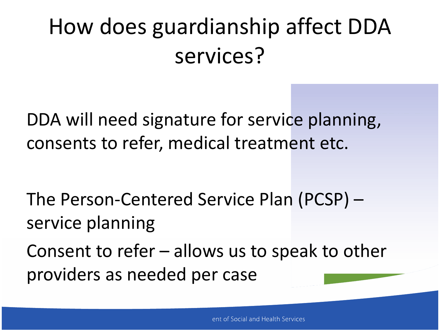### How does guardianship affect DDA services?

DDA will need signature for service planning, consents to refer, medical treatment etc.

The Person-Centered Service Plan (PCSP) – service planning

Consent to refer – allows us to speak to other providers as needed per case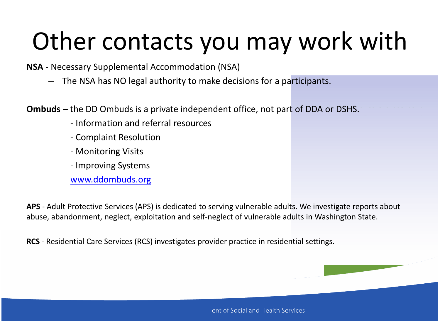## Other contacts you may work with

**NSA** - Necessary Supplemental Accommodation (NSA)

– The NSA has NO legal authority to make decisions for a participants.

**Ombuds** – the DD Ombuds is a private independent office, not part of DDA or DSHS.

- Information and referral resources
- Complaint Resolution
- Monitoring Visits
- Improving Systems

[www.ddombuds.org](http://www.ddombuds.org/)

**APS** - Adult Protective Services (APS) is dedicated to serving vulnerable adults. We investigate reports about abuse, abandonment, neglect, exploitation and self-neglect of vulnerable adults in Washington State.

**RCS** - Residential Care Services (RCS) investigates provider practice in residential settings.